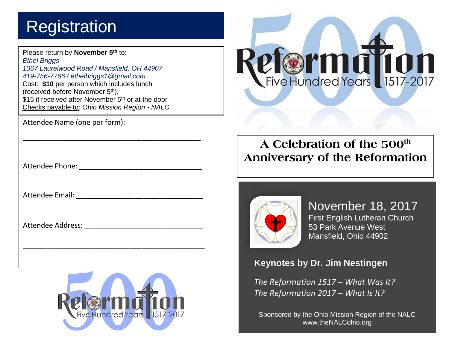## **Registration**

Please return by **November 5th** to: *Ethel Briggs 1067 Laurelwood Road / Mansfield, OH 44907 419-756-7766 / ethelbriggs1@gmail.com* Cost: **\$10** per person which includes lunch (received before November 5th). \$15 if received after November 5<sup>th</sup> or at the door Checks payable to: *Ohio Mission Region - NALC*

\_\_\_\_\_\_\_\_\_\_\_\_\_\_\_\_\_\_\_\_\_\_\_\_\_\_\_\_\_\_\_\_\_\_\_\_\_\_\_\_\_\_\_\_\_

Attendee Name (one per form):

when an unknown printer Attendee Phone: \_\_\_\_\_\_\_\_\_\_\_\_\_\_\_\_\_\_\_\_\_\_\_\_\_\_\_\_\_\_\_

has survived not only five Attendee Email: \_\_\_\_\_\_\_\_\_\_\_\_\_\_\_\_\_\_\_\_\_\_\_\_\_\_\_\_\_\_\_\_

essentially unchanged. It Attendee Address: \_\_\_\_\_\_\_\_\_\_\_\_\_\_\_\_\_\_\_\_\_\_\_\_\_\_\_\_\_\_



\_\_\_\_\_\_\_\_\_\_\_\_\_\_\_\_\_\_\_\_\_\_\_\_\_\_\_\_\_\_\_\_\_\_\_\_\_\_\_\_\_\_\_\_\_\_

industry. Lorem Ipsum

Letraset sheets



## **A Celebration of the 500th Anniversary of the Reformation**



November 18, 2017 First English Lutheran Church 53 Park Avenue West Mansfield, Ohio 44902

**Keynotes by Dr. Jim Nestingen** 

*The Reformation 1517 – What Was It? The Reformation 2017 – What Is It?*

Sponsored by the Ohio Mission Region of the NALC www.theNALCohio.org